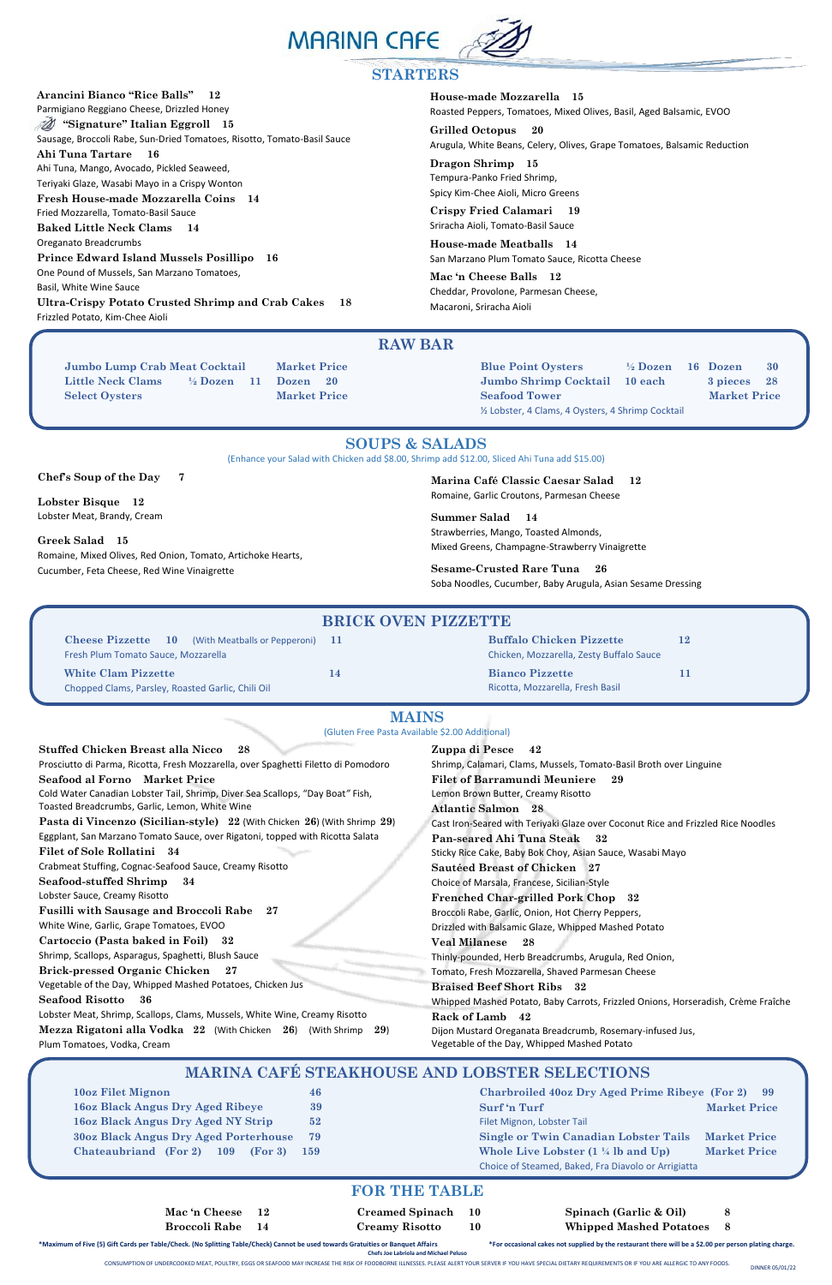**Arancini Bianco "Rice Balls" 12** 

Parmigiano Reggiano Cheese, Drizzled Honey  **" "Signature" Italian Eggroll 15**

Sausage, Broccoli Rabe, Sun-Dried Tomatoes, Risotto, Tomato-Basil Sauce

**Ahi Tuna Tartare 16**  Ahi Tuna, Mango, Avocado, Pickled Seaweed,

Teriyaki Glaze, Wasabi Mayo in a Crispy Wonton

**Fresh House-made Mozzarella Coins 14**

Fried Mozzarella, Tomato-Basil Sauce **Baked Little Neck Clams 14** 

Oreganato Breadcrumbs **Prince Edward Island Mussels Posillipo 16** One Pound of Mussels, San Marzano Tomatoes,

Basil, White Wine Sauce

j

**Jumbo Lump Crab Meat Cocktail Market Price Little Neck Clams ½ Dozen 11 Dozen 20 Select Oysters Market Price** 

**Ultra-Crispy Potato Crusted Shrimp and Crab Cakes 18** Frizzled Potato, Kim-Chee Aioli



#### **STARTERS**

**House-made Mozzarella 15** Roasted Peppers, Tomatoes, Mixed Olives, Basil, Aged Balsamic, EVOO

**Grilled Octopus 20**  Arugula, White Beans, Celery, Olives, Grape Tomatoes, Balsamic Reduction

**Dragon Shrimp 15** Tempura-Panko Fried Shrimp, Spicy Kim-Chee Aioli, Micro Greens

**Crispy Fried Calamari 19**  Sriracha Aioli, Tomato-Basil Sauce

**House-made Meatballs 14** San Marzano Plum Tomato Sauce, Ricotta Cheese

**Mac 'n Cheese Balls 12** Cheddar, Provolone, Parmesan Cheese, Macaroni, Sriracha Aioli

### **RAW BAR**

**Blue Point Oysters ½ Dozen 16 Dozen 30 Jumbo Shrimp Cocktail 10 each 3 pieces 28 Seafood Tower Market Price** ½ Lobster, 4 Clams, 4 Oysters, 4 Shrimp Cocktail

**Chef's Soup of the Day 7** 

**Lobster Bisque 12** Lobster Meat, Brandy, Cream

**Greek Salad 15**

Romaine, Mixed Olives, Red Onion, Tomato, Artichoke Hearts, Cucumber, Feta Cheese, Red Wine Vinaigrette

### **SOUPS & SALADS**

(Enhance your Salad with Chicken add \$8.00, Shrimp add \$12.00, Sliced Ahi Tuna add \$15.00)

**Marina Café Classic Caesar Salad 12** Romaine, Garlic Croutons, Parmesan Cheese

**Summer Salad 14**  Strawberries, Mango, Toasted Almonds, Mixed Greens, Champagne-Strawberry Vinaigrette

**Sesame-Crusted Rare Tuna 26**  Soba Noodles, Cucumber, Baby Arugula, Asian Sesame Dressing

| <b>BRICK OVEN PIZZETTE</b>                                 |    |                                          |     |
|------------------------------------------------------------|----|------------------------------------------|-----|
| <b>Cheese Pizzette</b> 10 (With Meatballs or Pepperoni) 11 |    | <b>Buffalo Chicken Pizzette</b>          | 12  |
| Fresh Plum Tomato Sauce, Mozzarella                        |    | Chicken, Mozzarella, Zesty Buffalo Sauce |     |
| <b>White Clam Pizzette</b>                                 | 14 | <b>Bianco Pizzette</b>                   | 11. |
| Chopped Clams, Parsley, Roasted Garlic, Chili Oil          |    | Ricotta, Mozzarella, Fresh Basil         |     |

\*Maximum of Five (5) Gift Cards per Table/Check. (No Splitting Table/Check) Cannot be used towards Gratuities or Banquet Affairs \*For occasional cakes not supplied by the restaurant there will be a \$2.00 per person plating **Chefs Joe Labriola and Michael Peluso**

**Stuffed Chicken Breast alla Nicco 28**  Prosciutto di Parma, Ricotta, Fresh Mozzarella, over Spaghetti Filetto di Pomodoro **Seafood al Forno Market Price** Cold Water Canadian Lobster Tail, Shrimp, Diver Sea Scallops, "Day Boat*"* Fish, Toasted Breadcrumbs, Garlic, Lemon, White Wine **Pasta di Vincenzo (Sicilian-style) 22** (With Chicken **26**) (With Shrimp **29**) Eggplant, San Marzano Tomato Sauce, over Rigatoni, topped with Ricotta Salata **Filet of Sole Rollatini 34** Crabmeat Stuffing, Cognac-Seafood Sauce, Creamy Risotto **Seafood-stuffed Shrimp 34**  Lobster Sauce, Creamy Risotto **Fusilli with Sausage and Broccoli Rabe 27** White Wine, Garlic, Grape Tomatoes, EVOO **Cartoccio (Pasta baked in Foil) 32** Shrimp, Scallops, Asparagus, Spaghetti, Blush Sauce **Brick-pressed Organic Chicken 27** Vegetable of the Day, Whipped Mashed Potatoes, Chicken Jus **Seafood Risotto 36** Lobster Meat, Shrimp, Scallops, Clams, Mussels, White Wine, Creamy Risotto **Mezza Rigatoni alla Vodka 22** (With Chicken **26**) (With Shrimp **29**) Plum Tomatoes, Vodka, Cream **Zuppa di Pesce 42** Shrimp, Calamari, Clams, Mussels, Tomato-Basil Broth over Linguine **Filet of Barramundi Meuniere 29**  Lemon Brown Butter, Creamy Risotto **Atlantic Salmon 28** Cast Iron-Seared with Teriyaki Glaze over Coconut Rice and Frizzled Rice Noodles **Pan-seared Ahi Tuna Steak 32** Sticky Rice Cake, Baby Bok Choy, Asian Sauce, Wasabi Mayo **Sautéed Breast of Chicken 27** Choice of Marsala, Francese, Sicilian-Style **Frenched Char-grilled Pork Chop 32** Broccoli Rabe, Garlic, Onion, Hot Cherry Peppers, Drizzled with Balsamic Glaze, Whipped Mashed Potato **Veal Milanese 28**  Thinly-pounded, Herb Breadcrumbs, Arugula, Red Onion, Tomato, Fresh Mozzarella, Shaved Parmesan Cheese **Braised Beef Short Ribs 32** Whipped Mashed Potato, Baby Carrots, Frizzled Onions, Horseradish, Crème Fraîche **Rack of Lamb 42** Dijon Mustard Oreganata Breadcrumb, Rosemary-infused Jus, Vegetable of the Day, Whipped Mashed Potato

# **MAINS**

(Gluten Free Pasta Available \$2.00 Additional)

| 10oz Filet Mignon                                     | 46  |  |  |  |
|-------------------------------------------------------|-----|--|--|--|
| <b>16oz Black Angus Dry Aged Ribeye</b>               | 39  |  |  |  |
| <b>160z Black Angus Dry Aged NY Strip</b>             |     |  |  |  |
| <b>30oz Black Angus Dry Aged Porterhouse</b><br>79    |     |  |  |  |
| <b>Chateaubriand</b> (For 2)<br>(For 3)<br><b>109</b> | 159 |  |  |  |

### **MARINA CAFÉ STEAKHOUSE AND LOBSTER SELECTIONS**

| <b>Charbroiled 40oz Dry Aged Prime Ribeye (For 2)</b> | 99                  |  |
|-------------------------------------------------------|---------------------|--|
| Surf 'n Turf                                          | <b>Market Price</b> |  |
| Filet Mignon, Lobster Tail                            |                     |  |
| <b>Single or Twin Canadian Lobster Tails</b>          | <b>Market Price</b> |  |
| Whole Live Lobster $(1 \frac{1}{4}$ lb and Up)        | <b>Market Price</b> |  |
| Choice of Steamed, Baked, Fra Diavolo or Arrigiatta   |                     |  |

 **Mac 'n Cheese 12 Creamed Spinach 10 Spinach (Garlic & Oil) 8 Broccoli Rabe 14 Creamy Risotto 10 Whipped Mashed Potatoes 8** 

CONSUMPTION OF UNDERCOOKED MEAT, POULTRY, EGGS OR SEAFOOD MAY INCREASE THE RISK OF FOODBORNE ILLNESSES. PLEASE ALERT YOUR SERVER IF YOU HAVE SPECIAL DIETARY REQUIREMENTS OR IF YOU ARE ALLERGIC TO ANY FOODS.

#### **FOR THE TABLE**